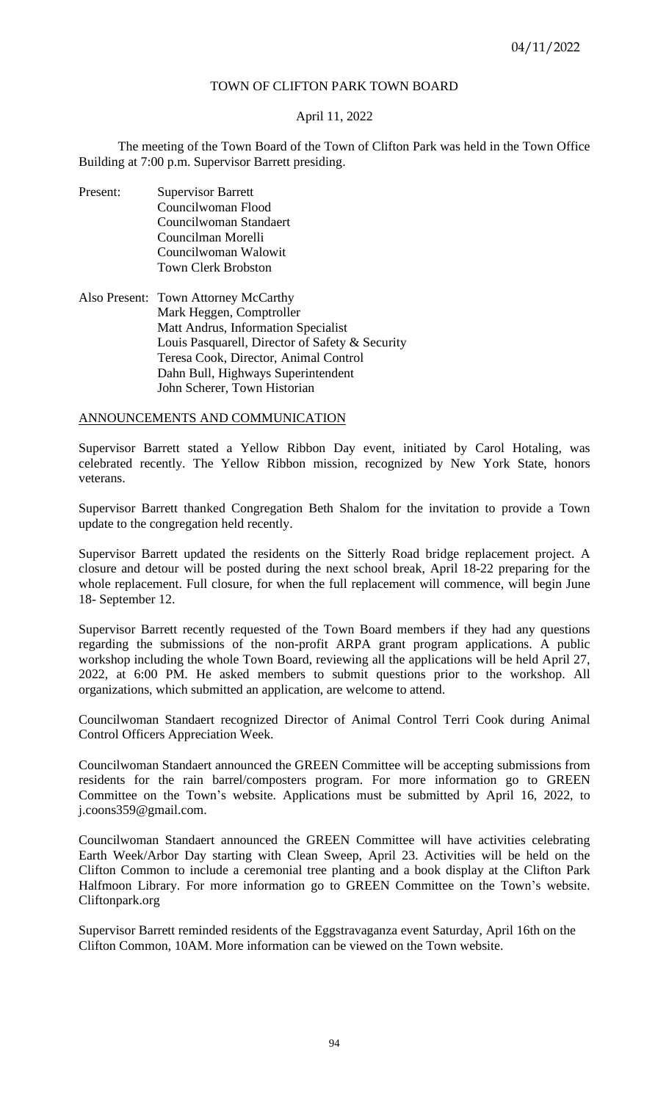# TOWN OF CLIFTON PARK TOWN BOARD

# April 11, 2022

The meeting of the Town Board of the Town of Clifton Park was held in the Town Office Building at 7:00 p.m. Supervisor Barrett presiding.

- Present: Supervisor Barrett Councilwoman Flood Councilwoman Standaert Councilman Morelli Councilwoman Walowit Town Clerk Brobston
- Also Present: Town Attorney McCarthy Mark Heggen, Comptroller Matt Andrus, Information Specialist Louis Pasquarell, Director of Safety & Security Teresa Cook, Director, Animal Control Dahn Bull, Highways Superintendent John Scherer, Town Historian

## ANNOUNCEMENTS AND COMMUNICATION

Supervisor Barrett stated a Yellow Ribbon Day event, initiated by Carol Hotaling, was celebrated recently. The Yellow Ribbon mission, recognized by New York State, honors veterans.

Supervisor Barrett thanked Congregation Beth Shalom for the invitation to provide a Town update to the congregation held recently.

Supervisor Barrett updated the residents on the Sitterly Road bridge replacement project. A closure and detour will be posted during the next school break, April 18-22 preparing for the whole replacement. Full closure, for when the full replacement will commence, will begin June 18- September 12.

Supervisor Barrett recently requested of the Town Board members if they had any questions regarding the submissions of the non-profit ARPA grant program applications. A public workshop including the whole Town Board, reviewing all the applications will be held April 27, 2022, at 6:00 PM. He asked members to submit questions prior to the workshop. All organizations, which submitted an application, are welcome to attend.

Councilwoman Standaert recognized Director of Animal Control Terri Cook during Animal Control Officers Appreciation Week.

Councilwoman Standaert announced the GREEN Committee will be accepting submissions from residents for the rain barrel/composters program. For more information go to GREEN Committee on the Town's website. Applications must be submitted by April 16, 2022, to j.coons359@gmail.com.

Councilwoman Standaert announced the GREEN Committee will have activities celebrating Earth Week/Arbor Day starting with Clean Sweep, April 23. Activities will be held on the Clifton Common to include a ceremonial tree planting and a book display at the Clifton Park Halfmoon Library. For more information go to GREEN Committee on the Town's website. Cliftonpark.org

Supervisor Barrett reminded residents of the Eggstravaganza event Saturday, April 16th on the Clifton Common, 10AM. More information can be viewed on the Town website.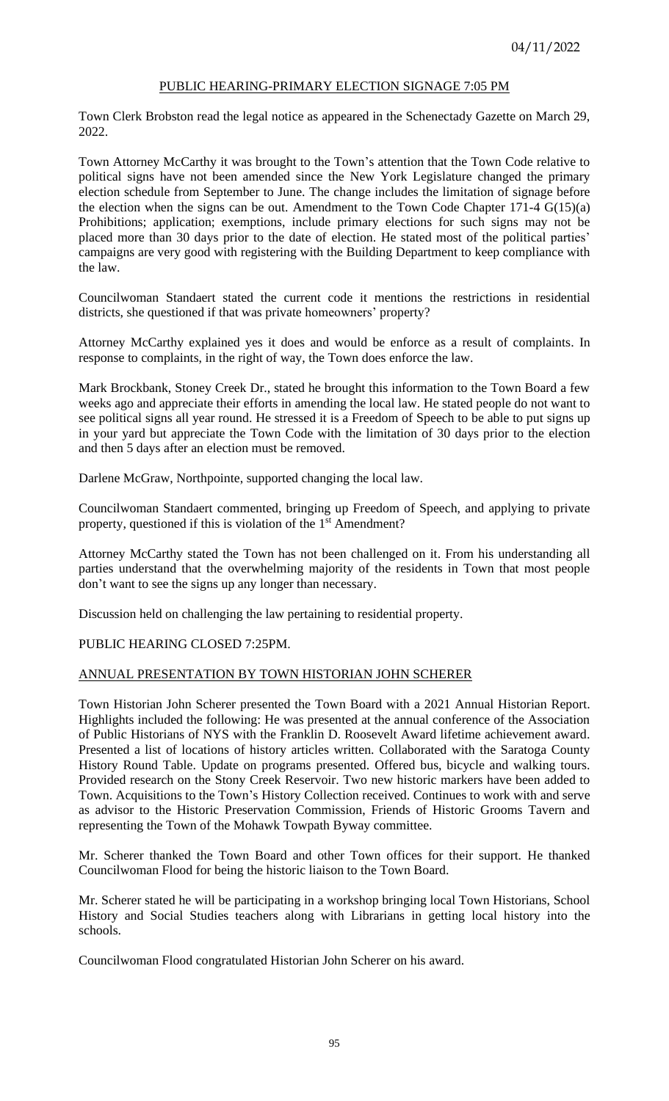# PUBLIC HEARING-PRIMARY ELECTION SIGNAGE 7:05 PM

Town Clerk Brobston read the legal notice as appeared in the Schenectady Gazette on March 29, 2022.

Town Attorney McCarthy it was brought to the Town's attention that the Town Code relative to political signs have not been amended since the New York Legislature changed the primary election schedule from September to June. The change includes the limitation of signage before the election when the signs can be out. Amendment to the Town Code Chapter 171-4 G(15)(a) Prohibitions; application; exemptions, include primary elections for such signs may not be placed more than 30 days prior to the date of election. He stated most of the political parties' campaigns are very good with registering with the Building Department to keep compliance with the law.

Councilwoman Standaert stated the current code it mentions the restrictions in residential districts, she questioned if that was private homeowners' property?

Attorney McCarthy explained yes it does and would be enforce as a result of complaints. In response to complaints, in the right of way, the Town does enforce the law.

Mark Brockbank, Stoney Creek Dr., stated he brought this information to the Town Board a few weeks ago and appreciate their efforts in amending the local law. He stated people do not want to see political signs all year round. He stressed it is a Freedom of Speech to be able to put signs up in your yard but appreciate the Town Code with the limitation of 30 days prior to the election and then 5 days after an election must be removed.

Darlene McGraw, Northpointe, supported changing the local law.

Councilwoman Standaert commented, bringing up Freedom of Speech, and applying to private property, questioned if this is violation of the 1<sup>st</sup> Amendment?

Attorney McCarthy stated the Town has not been challenged on it. From his understanding all parties understand that the overwhelming majority of the residents in Town that most people don't want to see the signs up any longer than necessary.

Discussion held on challenging the law pertaining to residential property.

# PUBLIC HEARING CLOSED 7:25PM.

## ANNUAL PRESENTATION BY TOWN HISTORIAN JOHN SCHERER

Town Historian John Scherer presented the Town Board with a 2021 Annual Historian Report. Highlights included the following: He was presented at the annual conference of the Association of Public Historians of NYS with the Franklin D. Roosevelt Award lifetime achievement award. Presented a list of locations of history articles written. Collaborated with the Saratoga County History Round Table. Update on programs presented. Offered bus, bicycle and walking tours. Provided research on the Stony Creek Reservoir. Two new historic markers have been added to Town. Acquisitions to the Town's History Collection received. Continues to work with and serve as advisor to the Historic Preservation Commission, Friends of Historic Grooms Tavern and representing the Town of the Mohawk Towpath Byway committee.

Mr. Scherer thanked the Town Board and other Town offices for their support. He thanked Councilwoman Flood for being the historic liaison to the Town Board.

Mr. Scherer stated he will be participating in a workshop bringing local Town Historians, School History and Social Studies teachers along with Librarians in getting local history into the schools.

Councilwoman Flood congratulated Historian John Scherer on his award.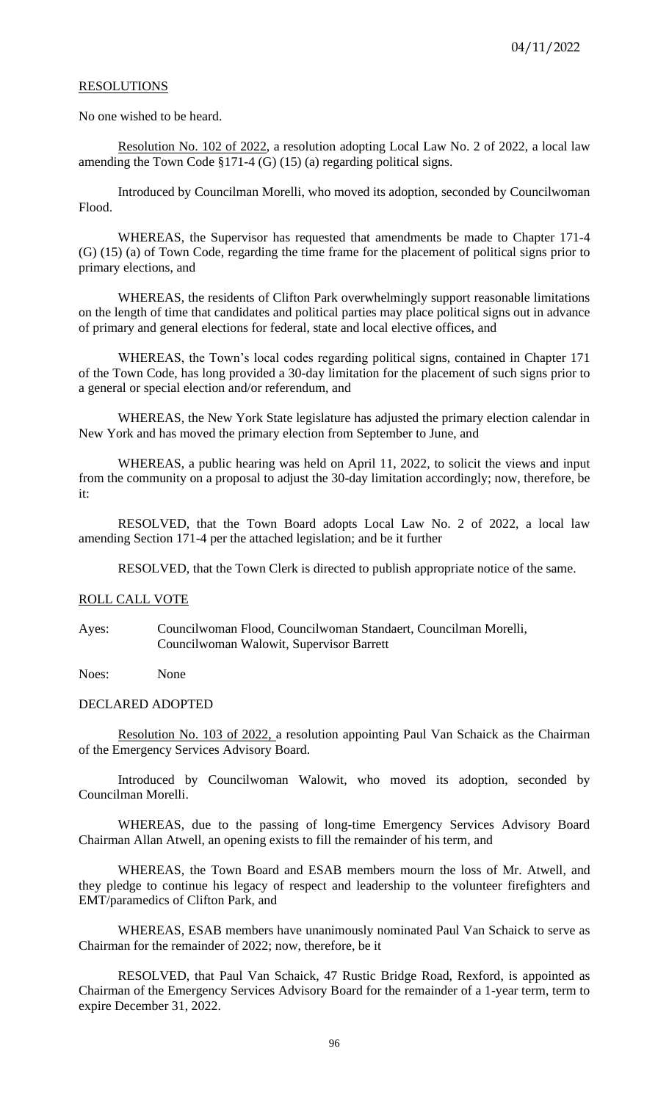## **RESOLUTIONS**

No one wished to be heard.

Resolution No. 102 of 2022, a resolution adopting Local Law No. 2 of 2022, a local law amending the Town Code §171-4 (G) (15) (a) regarding political signs.

Introduced by Councilman Morelli, who moved its adoption, seconded by Councilwoman Flood.

WHEREAS, the Supervisor has requested that amendments be made to Chapter 171-4 (G) (15) (a) of Town Code, regarding the time frame for the placement of political signs prior to primary elections, and

WHEREAS, the residents of Clifton Park overwhelmingly support reasonable limitations on the length of time that candidates and political parties may place political signs out in advance of primary and general elections for federal, state and local elective offices, and

WHEREAS, the Town's local codes regarding political signs, contained in Chapter 171 of the Town Code, has long provided a 30-day limitation for the placement of such signs prior to a general or special election and/or referendum, and

WHEREAS, the New York State legislature has adjusted the primary election calendar in New York and has moved the primary election from September to June, and

WHEREAS, a public hearing was held on April 11, 2022, to solicit the views and input from the community on a proposal to adjust the 30-day limitation accordingly; now, therefore, be it:

RESOLVED, that the Town Board adopts Local Law No. 2 of 2022, a local law amending Section 171-4 per the attached legislation; and be it further

RESOLVED, that the Town Clerk is directed to publish appropriate notice of the same.

# ROLL CALL VOTE

Ayes: Councilwoman Flood, Councilwoman Standaert, Councilman Morelli, Councilwoman Walowit, Supervisor Barrett

Noes: None

## DECLARED ADOPTED

Resolution No. 103 of 2022, a resolution appointing Paul Van Schaick as the Chairman of the Emergency Services Advisory Board.

Introduced by Councilwoman Walowit, who moved its adoption, seconded by Councilman Morelli.

WHEREAS, due to the passing of long-time Emergency Services Advisory Board Chairman Allan Atwell, an opening exists to fill the remainder of his term, and

WHEREAS, the Town Board and ESAB members mourn the loss of Mr. Atwell, and they pledge to continue his legacy of respect and leadership to the volunteer firefighters and EMT/paramedics of Clifton Park, and

WHEREAS, ESAB members have unanimously nominated Paul Van Schaick to serve as Chairman for the remainder of 2022; now, therefore, be it

RESOLVED, that Paul Van Schaick, 47 Rustic Bridge Road, Rexford, is appointed as Chairman of the Emergency Services Advisory Board for the remainder of a 1-year term, term to expire December 31, 2022.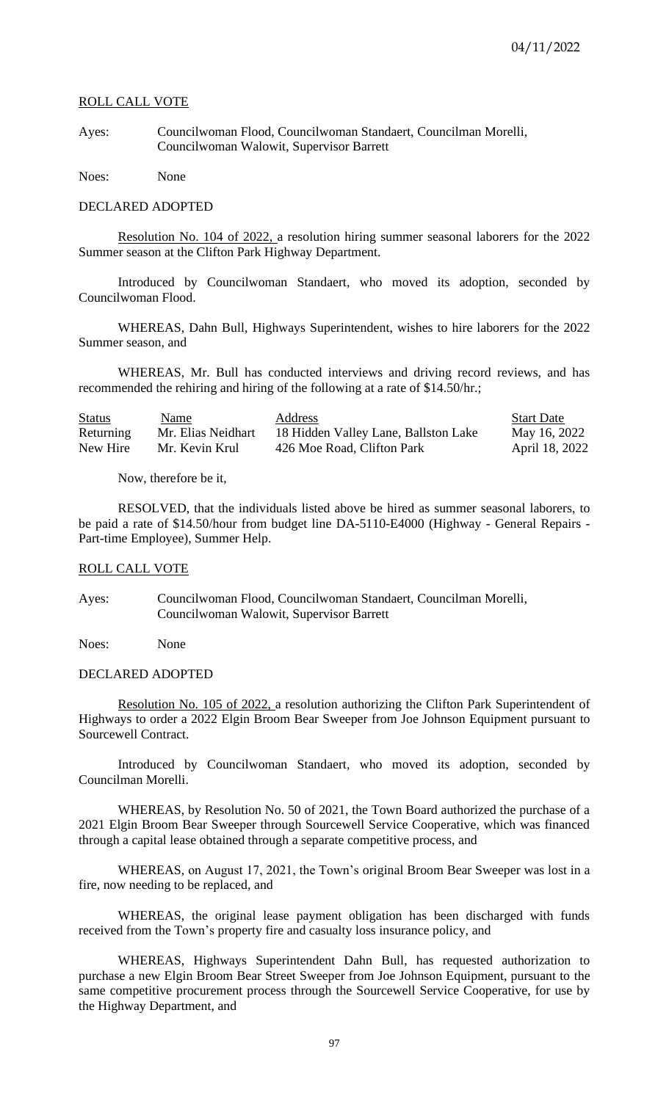# ROLL CALL VOTE

Ayes: Councilwoman Flood, Councilwoman Standaert, Councilman Morelli, Councilwoman Walowit, Supervisor Barrett

Noes: None

#### DECLARED ADOPTED

Resolution No. 104 of 2022, a resolution hiring summer seasonal laborers for the 2022 Summer season at the Clifton Park Highway Department.

Introduced by Councilwoman Standaert, who moved its adoption, seconded by Councilwoman Flood.

WHEREAS, Dahn Bull, Highways Superintendent, wishes to hire laborers for the 2022 Summer season, and

WHEREAS, Mr. Bull has conducted interviews and driving record reviews, and has recommended the rehiring and hiring of the following at a rate of \$14.50/hr.;

| <b>Status</b> | <b>Name</b>        | <b>Address</b>                       | <b>Start Date</b> |
|---------------|--------------------|--------------------------------------|-------------------|
| Returning     | Mr. Elias Neidhart | 18 Hidden Valley Lane, Ballston Lake | May 16, 2022      |
| New Hire      | Mr. Kevin Krul     | 426 Moe Road, Clifton Park           | April 18, 2022    |

Now, therefore be it,

RESOLVED, that the individuals listed above be hired as summer seasonal laborers, to be paid a rate of \$14.50/hour from budget line DA-5110-E4000 (Highway - General Repairs - Part-time Employee), Summer Help.

#### ROLL CALL VOTE

Ayes: Councilwoman Flood, Councilwoman Standaert, Councilman Morelli, Councilwoman Walowit, Supervisor Barrett

Noes: None

#### DECLARED ADOPTED

Resolution No. 105 of 2022, a resolution authorizing the Clifton Park Superintendent of Highways to order a 2022 Elgin Broom Bear Sweeper from Joe Johnson Equipment pursuant to Sourcewell Contract.

Introduced by Councilwoman Standaert, who moved its adoption, seconded by Councilman Morelli.

WHEREAS, by Resolution No. 50 of 2021, the Town Board authorized the purchase of a 2021 Elgin Broom Bear Sweeper through Sourcewell Service Cooperative, which was financed through a capital lease obtained through a separate competitive process, and

WHEREAS, on August 17, 2021, the Town's original Broom Bear Sweeper was lost in a fire, now needing to be replaced, and

WHEREAS, the original lease payment obligation has been discharged with funds received from the Town's property fire and casualty loss insurance policy, and

WHEREAS, Highways Superintendent Dahn Bull, has requested authorization to purchase a new Elgin Broom Bear Street Sweeper from Joe Johnson Equipment, pursuant to the same competitive procurement process through the Sourcewell Service Cooperative, for use by the Highway Department, and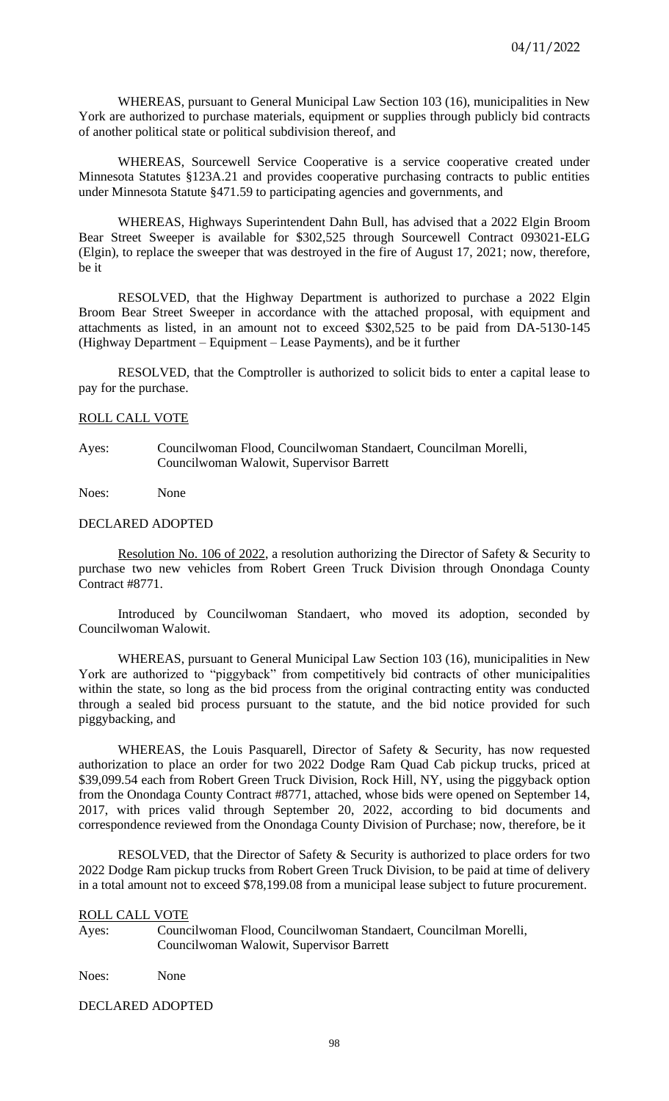WHEREAS, pursuant to General Municipal Law Section 103 (16), municipalities in New York are authorized to purchase materials, equipment or supplies through publicly bid contracts of another political state or political subdivision thereof, and

WHEREAS, Sourcewell Service Cooperative is a service cooperative created under Minnesota Statutes §123A.21 and provides cooperative purchasing contracts to public entities under Minnesota Statute §471.59 to participating agencies and governments, and

WHEREAS, Highways Superintendent Dahn Bull, has advised that a 2022 Elgin Broom Bear Street Sweeper is available for \$302,525 through Sourcewell Contract 093021-ELG (Elgin), to replace the sweeper that was destroyed in the fire of August 17, 2021; now, therefore, be it

RESOLVED, that the Highway Department is authorized to purchase a 2022 Elgin Broom Bear Street Sweeper in accordance with the attached proposal, with equipment and attachments as listed, in an amount not to exceed \$302,525 to be paid from DA-5130-145 (Highway Department – Equipment – Lease Payments), and be it further

RESOLVED, that the Comptroller is authorized to solicit bids to enter a capital lease to pay for the purchase.

#### ROLL CALL VOTE

Ayes: Councilwoman Flood, Councilwoman Standaert, Councilman Morelli, Councilwoman Walowit, Supervisor Barrett

Noes: None

#### DECLARED ADOPTED

Resolution No. 106 of 2022, a resolution authorizing the Director of Safety & Security to purchase two new vehicles from Robert Green Truck Division through Onondaga County Contract #8771.

Introduced by Councilwoman Standaert, who moved its adoption, seconded by Councilwoman Walowit.

WHEREAS, pursuant to General Municipal Law Section 103 (16), municipalities in New York are authorized to "piggyback" from competitively bid contracts of other municipalities within the state, so long as the bid process from the original contracting entity was conducted through a sealed bid process pursuant to the statute, and the bid notice provided for such piggybacking, and

WHEREAS, the Louis Pasquarell, Director of Safety & Security, has now requested authorization to place an order for two 2022 Dodge Ram Quad Cab pickup trucks, priced at \$39,099.54 each from Robert Green Truck Division, Rock Hill, NY, using the piggyback option from the Onondaga County Contract #8771, attached, whose bids were opened on September 14, 2017, with prices valid through September 20, 2022, according to bid documents and correspondence reviewed from the Onondaga County Division of Purchase; now, therefore, be it

RESOLVED, that the Director of Safety & Security is authorized to place orders for two 2022 Dodge Ram pickup trucks from Robert Green Truck Division, to be paid at time of delivery in a total amount not to exceed \$78,199.08 from a municipal lease subject to future procurement.

#### ROLL CALL VOTE

Ayes: Councilwoman Flood, Councilwoman Standaert, Councilman Morelli, Councilwoman Walowit, Supervisor Barrett

Noes: None

## DECLARED ADOPTED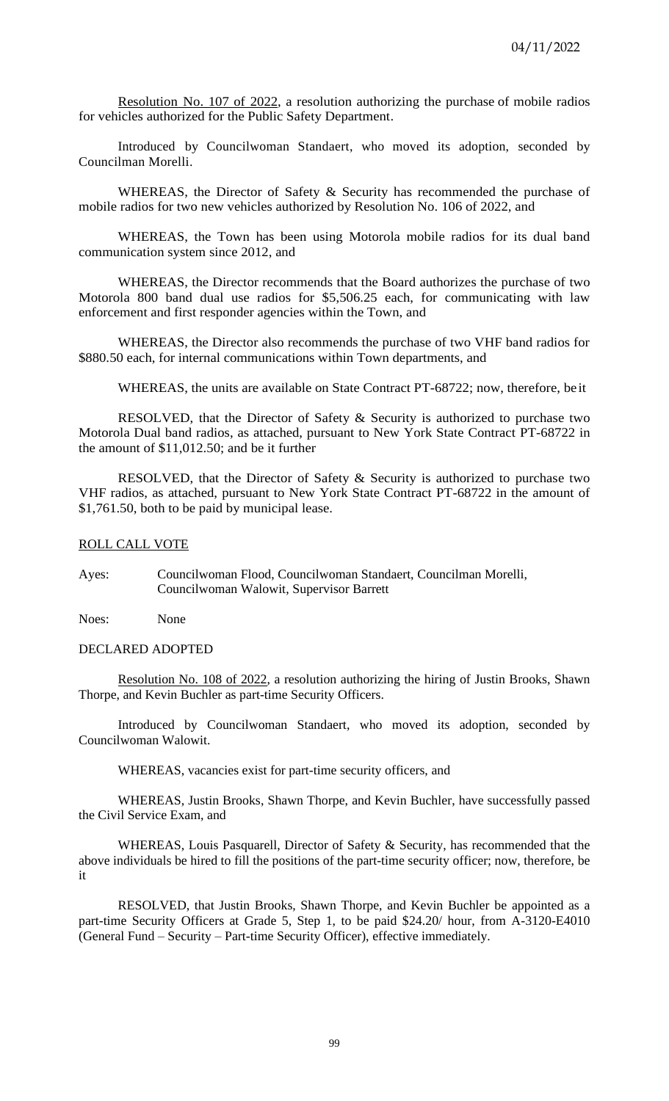Resolution No. 107 of 2022, a resolution authorizing the purchase of mobile radios for vehicles authorized for the Public Safety Department.

Introduced by Councilwoman Standaert, who moved its adoption, seconded by Councilman Morelli.

WHEREAS, the Director of Safety & Security has recommended the purchase of mobile radios for two new vehicles authorized by Resolution No. 106 of 2022, and

WHEREAS, the Town has been using Motorola mobile radios for its dual band communication system since 2012, and

WHEREAS, the Director recommends that the Board authorizes the purchase of two Motorola 800 band dual use radios for \$5,506.25 each, for communicating with law enforcement and first responder agencies within the Town, and

WHEREAS, the Director also recommends the purchase of two VHF band radios for \$880.50 each, for internal communications within Town departments, and

WHEREAS, the units are available on State Contract PT-68722; now, therefore, be it

RESOLVED, that the Director of Safety & Security is authorized to purchase two Motorola Dual band radios, as attached, pursuant to New York State Contract PT-68722 in the amount of \$11,012.50; and be it further

RESOLVED, that the Director of Safety & Security is authorized to purchase two VHF radios, as attached, pursuant to New York State Contract PT-68722 in the amount of \$1,761.50, both to be paid by municipal lease.

#### ROLL CALL VOTE

Ayes: Councilwoman Flood, Councilwoman Standaert, Councilman Morelli, Councilwoman Walowit, Supervisor Barrett

Noes: None

## DECLARED ADOPTED

Resolution No. 108 of 2022, a resolution authorizing the hiring of Justin Brooks, Shawn Thorpe, and Kevin Buchler as part-time Security Officers.

Introduced by Councilwoman Standaert, who moved its adoption, seconded by Councilwoman Walowit.

WHEREAS, vacancies exist for part-time security officers, and

WHEREAS, Justin Brooks, Shawn Thorpe, and Kevin Buchler, have successfully passed the Civil Service Exam, and

WHEREAS, Louis Pasquarell, Director of Safety & Security, has recommended that the above individuals be hired to fill the positions of the part-time security officer; now, therefore, be it

RESOLVED, that Justin Brooks, Shawn Thorpe, and Kevin Buchler be appointed as a part-time Security Officers at Grade 5, Step 1, to be paid \$24.20/ hour, from A-3120-E4010 (General Fund – Security – Part-time Security Officer), effective immediately.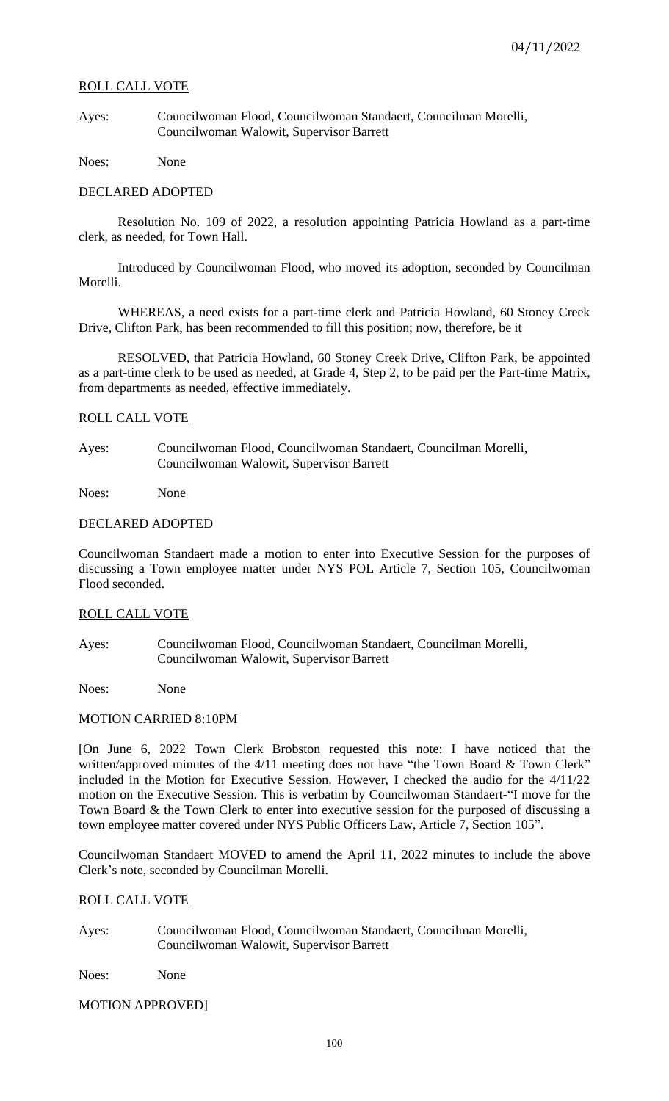# ROLL CALL VOTE

Ayes: Councilwoman Flood, Councilwoman Standaert, Councilman Morelli, Councilwoman Walowit, Supervisor Barrett

Noes: None

# DECLARED ADOPTED

Resolution No. 109 of 2022, a resolution appointing Patricia Howland as a part-time clerk, as needed, for Town Hall.

Introduced by Councilwoman Flood, who moved its adoption, seconded by Councilman Morelli.

WHEREAS, a need exists for a part-time clerk and Patricia Howland, 60 Stoney Creek Drive, Clifton Park, has been recommended to fill this position; now, therefore, be it

RESOLVED, that Patricia Howland, 60 Stoney Creek Drive, Clifton Park, be appointed as a part-time clerk to be used as needed, at Grade 4, Step 2, to be paid per the Part-time Matrix, from departments as needed, effective immediately.

# ROLL CALL VOTE

Ayes: Councilwoman Flood, Councilwoman Standaert, Councilman Morelli, Councilwoman Walowit, Supervisor Barrett

Noes: None

# DECLARED ADOPTED

Councilwoman Standaert made a motion to enter into Executive Session for the purposes of discussing a Town employee matter under NYS POL Article 7, Section 105, Councilwoman Flood seconded.

## ROLL CALL VOTE

Ayes: Councilwoman Flood, Councilwoman Standaert, Councilman Morelli, Councilwoman Walowit, Supervisor Barrett

Noes: None

## MOTION CARRIED 8:10PM

[On June 6, 2022 Town Clerk Brobston requested this note: I have noticed that the written/approved minutes of the 4/11 meeting does not have "the Town Board & Town Clerk" included in the Motion for Executive Session. However, I checked the audio for the 4/11/22 motion on the Executive Session. This is verbatim by Councilwoman Standaert-"I move for the Town Board & the Town Clerk to enter into executive session for the purposed of discussing a town employee matter covered under NYS Public Officers Law, Article 7, Section 105".

Councilwoman Standaert MOVED to amend the April 11, 2022 minutes to include the above Clerk's note, seconded by Councilman Morelli.

# ROLL CALL VOTE

Ayes: Councilwoman Flood, Councilwoman Standaert, Councilman Morelli, Councilwoman Walowit, Supervisor Barrett

Noes: None

## MOTION APPROVED]